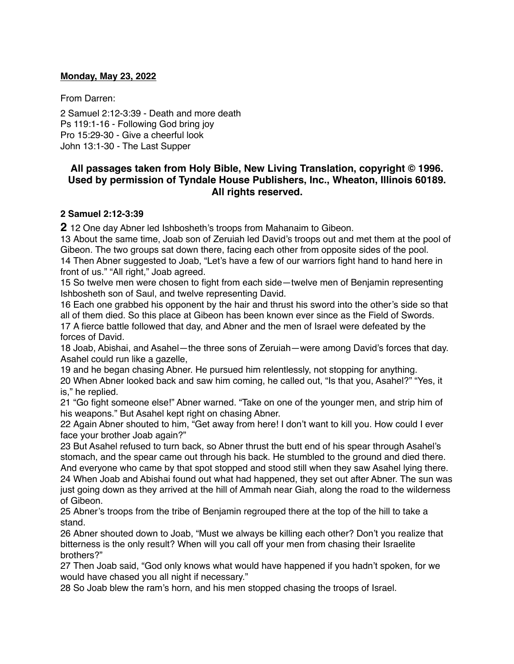### **Monday, May 23, 2022**

From Darren:

2 Samuel 2:12-3:39 - Death and more death Ps 119:1-16 - Following God bring joy Pro 15:29-30 - Give a cheerful look John 13:1-30 - The Last Supper

# **All passages taken from Holy Bible, [New Living Translation](http://www.newlivingtranslation.com/), copyright © 1996. Used by permission of [Tyndale House Publishers](http://tyndale.com/), Inc., Wheaton, Illinois 60189. All rights reserved.**

## **2 Samuel 2:12-3:39**

**2** 12 One day Abner led Ishbosheth's troops from Mahanaim to Gibeon.

13 About the same time, Joab son of Zeruiah led David's troops out and met them at the pool of Gibeon. The two groups sat down there, facing each other from opposite sides of the pool. 14 Then Abner suggested to Joab, "Let's have a few of our warriors fight hand to hand here in front of us." "All right," Joab agreed.

15 So twelve men were chosen to fight from each side—twelve men of Benjamin representing Ishbosheth son of Saul, and twelve representing David.

16 Each one grabbed his opponent by the hair and thrust his sword into the other's side so that all of them died. So this place at Gibeon has been known ever since as the Field of Swords. 17 A fierce battle followed that day, and Abner and the men of Israel were defeated by the

forces of David.

18 Joab, Abishai, and Asahel—the three sons of Zeruiah—were among David's forces that day. Asahel could run like a gazelle,

19 and he began chasing Abner. He pursued him relentlessly, not stopping for anything. 20 When Abner looked back and saw him coming, he called out, "Is that you, Asahel?" "Yes, it is," he replied.

21 "Go fight someone else!" Abner warned. "Take on one of the younger men, and strip him of his weapons." But Asahel kept right on chasing Abner.

22 Again Abner shouted to him, "Get away from here! I don't want to kill you. How could I ever face your brother Joab again?"

23 But Asahel refused to turn back, so Abner thrust the butt end of his spear through Asahel's stomach, and the spear came out through his back. He stumbled to the ground and died there. And everyone who came by that spot stopped and stood still when they saw Asahel lying there. 24 When Joab and Abishai found out what had happened, they set out after Abner. The sun was just going down as they arrived at the hill of Ammah near Giah, along the road to the wilderness of Gibeon.

25 Abner's troops from the tribe of Benjamin regrouped there at the top of the hill to take a stand.

26 Abner shouted down to Joab, "Must we always be killing each other? Don't you realize that bitterness is the only result? When will you call off your men from chasing their Israelite brothers?"

27 Then Joab said, "God only knows what would have happened if you hadn't spoken, for we would have chased you all night if necessary."

28 So Joab blew the ram's horn, and his men stopped chasing the troops of Israel.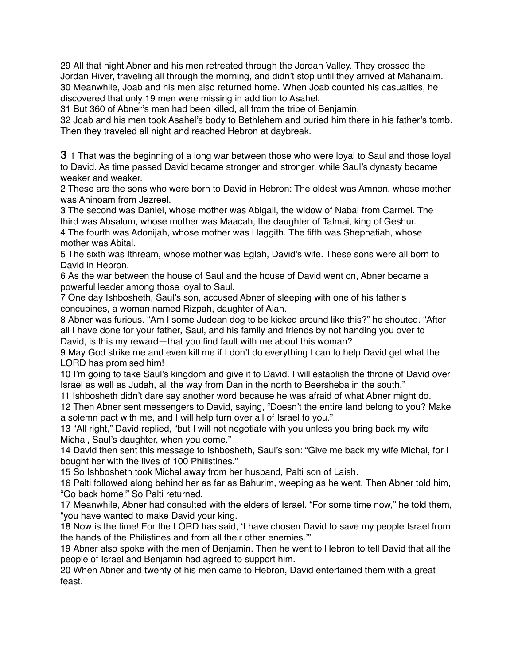29 All that night Abner and his men retreated through the Jordan Valley. They crossed the Jordan River, traveling all through the morning, and didn't stop until they arrived at Mahanaim. 30 Meanwhile, Joab and his men also returned home. When Joab counted his casualties, he discovered that only 19 men were missing in addition to Asahel.

31 But 360 of Abner's men had been killed, all from the tribe of Benjamin.

32 Joab and his men took Asahel's body to Bethlehem and buried him there in his father's tomb. Then they traveled all night and reached Hebron at daybreak.

**3** 1 That was the beginning of a long war between those who were loyal to Saul and those loyal to David. As time passed David became stronger and stronger, while Saul's dynasty became weaker and weaker.

2 These are the sons who were born to David in Hebron: The oldest was Amnon, whose mother was Ahinoam from Jezreel.

3 The second was Daniel, whose mother was Abigail, the widow of Nabal from Carmel. The third was Absalom, whose mother was Maacah, the daughter of Talmai, king of Geshur. 4 The fourth was Adonijah, whose mother was Haggith. The fifth was Shephatiah, whose

mother was Abital.

5 The sixth was Ithream, whose mother was Eglah, David's wife. These sons were all born to David in Hebron.

6 As the war between the house of Saul and the house of David went on, Abner became a powerful leader among those loyal to Saul.

7 One day Ishbosheth, Saul's son, accused Abner of sleeping with one of his father's concubines, a woman named Rizpah, daughter of Aiah.

8 Abner was furious. "Am I some Judean dog to be kicked around like this?" he shouted. "After all I have done for your father, Saul, and his family and friends by not handing you over to David, is this my reward—that you find fault with me about this woman?

9 May God strike me and even kill me if I don't do everything I can to help David get what the LORD has promised him!

10 I'm going to take Saul's kingdom and give it to David. I will establish the throne of David over Israel as well as Judah, all the way from Dan in the north to Beersheba in the south."

11 Ishbosheth didn't dare say another word because he was afraid of what Abner might do.

12 Then Abner sent messengers to David, saying, "Doesn't the entire land belong to you? Make a solemn pact with me, and I will help turn over all of Israel to you."

13 "All right," David replied, "but I will not negotiate with you unless you bring back my wife Michal, Saul's daughter, when you come."

14 David then sent this message to Ishbosheth, Saul's son: "Give me back my wife Michal, for I bought her with the lives of 100 Philistines."

15 So Ishbosheth took Michal away from her husband, Palti son of Laish.

16 Palti followed along behind her as far as Bahurim, weeping as he went. Then Abner told him, "Go back home!" So Palti returned.

17 Meanwhile, Abner had consulted with the elders of Israel. "For some time now," he told them, "you have wanted to make David your king.

18 Now is the time! For the LORD has said, 'I have chosen David to save my people Israel from the hands of the Philistines and from all their other enemies.'"

19 Abner also spoke with the men of Benjamin. Then he went to Hebron to tell David that all the people of Israel and Benjamin had agreed to support him.

20 When Abner and twenty of his men came to Hebron, David entertained them with a great feast.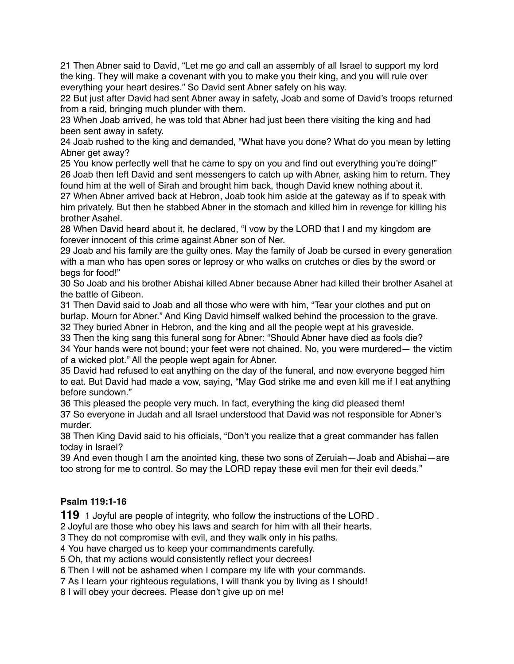21 Then Abner said to David, "Let me go and call an assembly of all Israel to support my lord the king. They will make a covenant with you to make you their king, and you will rule over everything your heart desires." So David sent Abner safely on his way.

22 But just after David had sent Abner away in safety, Joab and some of David's troops returned from a raid, bringing much plunder with them.

23 When Joab arrived, he was told that Abner had just been there visiting the king and had been sent away in safety.

24 Joab rushed to the king and demanded, "What have you done? What do you mean by letting Abner get away?

25 You know perfectly well that he came to spy on you and find out everything you're doing!" 26 Joab then left David and sent messengers to catch up with Abner, asking him to return. They found him at the well of Sirah and brought him back, though David knew nothing about it.

27 When Abner arrived back at Hebron, Joab took him aside at the gateway as if to speak with him privately. But then he stabbed Abner in the stomach and killed him in revenge for killing his brother Asahel.

28 When David heard about it, he declared, "I vow by the LORD that I and my kingdom are forever innocent of this crime against Abner son of Ner.

29 Joab and his family are the guilty ones. May the family of Joab be cursed in every generation with a man who has open sores or leprosy or who walks on crutches or dies by the sword or begs for food!"

30 So Joab and his brother Abishai killed Abner because Abner had killed their brother Asahel at the battle of Gibeon.

31 Then David said to Joab and all those who were with him, "Tear your clothes and put on burlap. Mourn for Abner." And King David himself walked behind the procession to the grave. 32 They buried Abner in Hebron, and the king and all the people wept at his graveside.

33 Then the king sang this funeral song for Abner: "Should Abner have died as fools die? 34 Your hands were not bound; your feet were not chained. No, you were murdered— the victim of a wicked plot." All the people wept again for Abner.

35 David had refused to eat anything on the day of the funeral, and now everyone begged him to eat. But David had made a vow, saying, "May God strike me and even kill me if I eat anything before sundown."

36 This pleased the people very much. In fact, everything the king did pleased them! 37 So everyone in Judah and all Israel understood that David was not responsible for Abner's murder.

38 Then King David said to his officials, "Don't you realize that a great commander has fallen today in Israel?

39 And even though I am the anointed king, these two sons of Zeruiah—Joab and Abishai—are too strong for me to control. So may the LORD repay these evil men for their evil deeds."

# **Psalm 119:1-16**

**119** 1 Joyful are people of integrity, who follow the instructions of the LORD .

2 Joyful are those who obey his laws and search for him with all their hearts.

3 They do not compromise with evil, and they walk only in his paths.

4 You have charged us to keep your commandments carefully.

5 Oh, that my actions would consistently reflect your decrees!

6 Then I will not be ashamed when I compare my life with your commands.

7 As I learn your righteous regulations, I will thank you by living as I should!

8 I will obey your decrees. Please don't give up on me!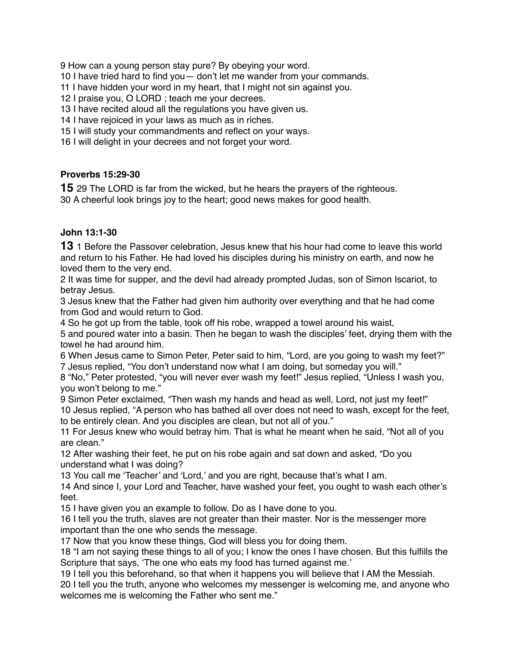How can a young person stay pure? By obeying your word.

I have tried hard to find you— don't let me wander from your commands.

I have hidden your word in my heart, that I might not sin against you.

I praise you, O LORD ; teach me your decrees.

I have recited aloud all the regulations you have given us.

I have rejoiced in your laws as much as in riches.

I will study your commandments and reflect on your ways.

I will delight in your decrees and not forget your word.

### **Proverbs 15:29-30**

29 The LORD is far from the wicked, but he hears the prayers of the righteous. A cheerful look brings joy to the heart; good news makes for good health.

## **John 13:1-30**

1 Before the Passover celebration, Jesus knew that his hour had come to leave this world and return to his Father. He had loved his disciples during his ministry on earth, and now he loved them to the very end.

 It was time for supper, and the devil had already prompted Judas, son of Simon Iscariot, to betray Jesus.

 Jesus knew that the Father had given him authority over everything and that he had come from God and would return to God.

So he got up from the table, took off his robe, wrapped a towel around his waist,

 and poured water into a basin. Then he began to wash the disciples' feet, drying them with the towel he had around him.

 When Jesus came to Simon Peter, Peter said to him, "Lord, are you going to wash my feet?" Jesus replied, "You don't understand now what I am doing, but someday you will."

 "No," Peter protested, "you will never ever wash my feet!" Jesus replied, "Unless I wash you, you won't belong to me."

 Simon Peter exclaimed, "Then wash my hands and head as well, Lord, not just my feet!" Jesus replied, "A person who has bathed all over does not need to wash, except for the feet, to be entirely clean. And you disciples are clean, but not all of you."

 For Jesus knew who would betray him. That is what he meant when he said, "Not all of you are clean."

 After washing their feet, he put on his robe again and sat down and asked, "Do you understand what I was doing?

You call me 'Teacher' and 'Lord,' and you are right, because that's what I am.

 And since I, your Lord and Teacher, have washed your feet, you ought to wash each other's feet.

I have given you an example to follow. Do as I have done to you.

 I tell you the truth, slaves are not greater than their master. Nor is the messenger more important than the one who sends the message.

Now that you know these things, God will bless you for doing them.

 "I am not saying these things to all of you; I know the ones I have chosen. But this fulfills the Scripture that says, 'The one who eats my food has turned against me.'

I tell you this beforehand, so that when it happens you will believe that I AM the Messiah.

 I tell you the truth, anyone who welcomes my messenger is welcoming me, and anyone who welcomes me is welcoming the Father who sent me."